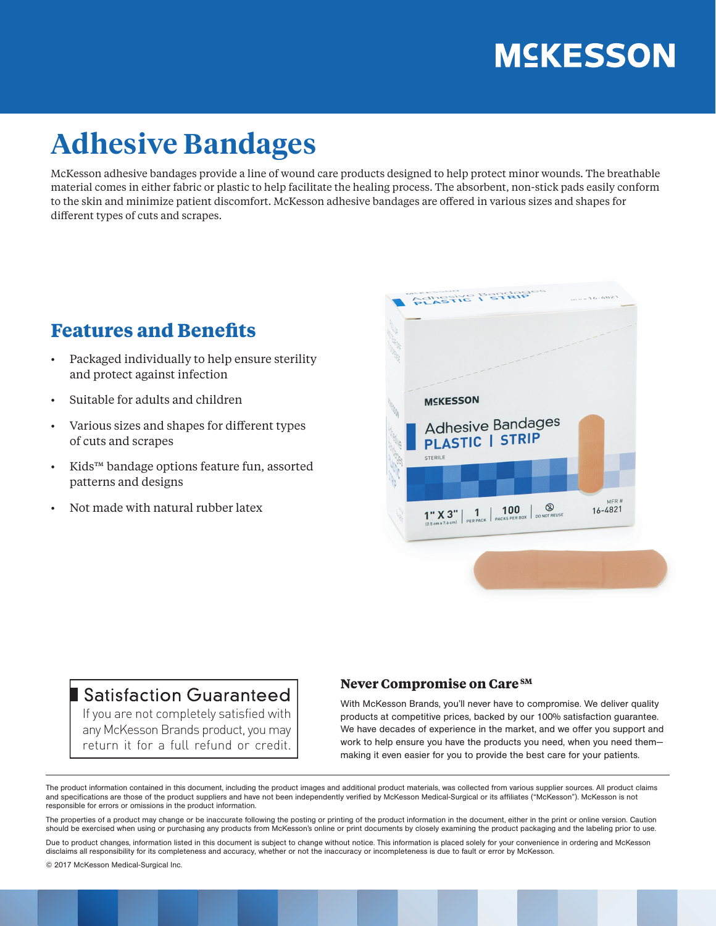# **MSKESSON**

## **Adhesive Bandages**

McKesson adhesive bandages provide a line of wound care products designed to help protect minor wounds. The breathable material comes in either fabric or plastic to help facilitate the healing process. The absorbent, non-stick pads easily conform to the skin and minimize patient discomfort. McKesson adhesive bandages are offered in various sizes and shapes for different types of cuts and scrapes.

### **Features and Benefits**

- Packaged individually to help ensure sterility and protect against infection
- Suitable for adults and children
- Various sizes and shapes for different types of cuts and scrapes
- Kids™ bandage options feature fun, assorted patterns and designs
- Not made with natural rubber latex



### Satisfaction Guaranteed

If you are not completely satisfied with any McKesson Brands product, you may return it for a full refund or credit.

#### **Never Compromise on Care SM**

With McKesson Brands, you'll never have to compromise. We deliver quality products at competitive prices, backed by our 100% satisfaction guarantee. We have decades of experience in the market, and we offer you support and work to help ensure you have the products you need, when you need them making it even easier for you to provide the best care for your patients.

The product information contained in this document, including the product images and additional product materials, was collected from various supplier sources. All product claims and specifications are those of the product suppliers and have not been independently verified by McKesson Medical-Surgical or its affiliates ("McKesson"). McKesson is not responsible for errors or omissions in the product information.

The properties of a product may change or be inaccurate following the posting or printing of the product information in the document, either in the print or online version. Caution should be exercised when using or purchasing any products from McKesson's online or print documents by closely examining the product packaging and the labeling prior to use.

Due to product changes, information listed in this document is subject to change without notice. This information is placed solely for your convenience in ordering and McKesson disclaims all responsibility for its completeness and accuracy, whether or not the inaccuracy or incompleteness is due to fault or error by McKesson.

© 2017 McKesson Medical-Surgical Inc.